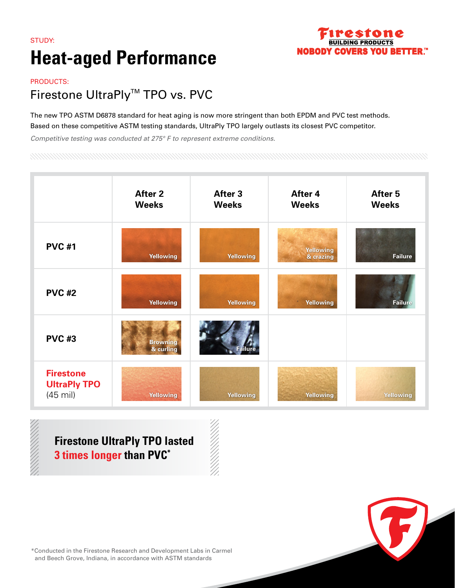### STUDY: **Heat-aged Performance**



#### PRODUCTS:

#### Firestone UltraPly<sup>™</sup> TPO vs. PVC

The new TPO ASTM D6878 standard for heat aging is now more stringent than both EPDM and PVC test methods. Based on these competitive ASTM testing standards, UltraPly TPO largely outlasts its closest PVC competitor.

*Competitive testing was conducted at 275° F to represent extreme conditions.*

|                                                               | <b>After 2</b><br><b>Weeks</b> | After 3<br><b>Weeks</b> | After 4<br><b>Weeks</b>       | After 5<br><b>Weeks</b> |
|---------------------------------------------------------------|--------------------------------|-------------------------|-------------------------------|-------------------------|
| <b>PVC #1</b>                                                 | <b>Yellowing</b>               | Yellowing               | <b>Yellowing</b><br>& crazing | Failure                 |
| <b>PVC #2</b>                                                 | <b>Yellowing</b>               | Yellowing               | <b>Yellowing</b>              | <b>Failure</b>          |
| <b>PVC #3</b>                                                 | <b>Browning</b><br>& curling   | Failure                 |                               |                         |
| <b>Firestone</b><br><b>UltraPly TPO</b><br>$(45 \text{ mil})$ | <b>Yellowing</b>               | Yellowing               | <b>Yellowing</b>              | Yellowing               |

**Firestone UltraPly TPO lasted 3 times longer than PVC\***

\*Conducted in the Firestone Research and Development Labs in Carmel and Beech Grove, Indiana, in accordance with ASTM standards